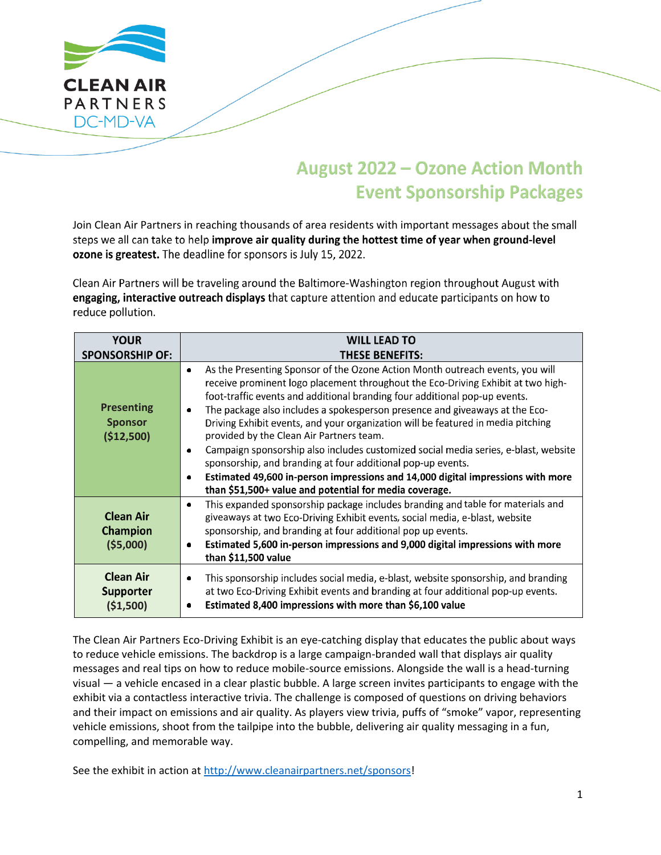

## **August 2022 - Ozone Action Month Event Sponsorship Packages**

Join Clean Air Partners in reaching thousands of area residents with important messages about the small steps we all can take to help improve air quality during the hottest time of year when ground-level ozone is greatest. The deadline for sponsors is July 15, 2022.

Clean Air Partners will be traveling around the Baltimore-Washington region throughout August with engaging, interactive outreach displays that capture attention and educate participants on how to reduce pollution.

| <b>YOUR</b>                                       | <b>WILL LEAD TO</b>                                                                                                                                                                                                                                                                                                                                                                                                                                                                                                                                                                                                                                                                                                                                                                                      |  |  |
|---------------------------------------------------|----------------------------------------------------------------------------------------------------------------------------------------------------------------------------------------------------------------------------------------------------------------------------------------------------------------------------------------------------------------------------------------------------------------------------------------------------------------------------------------------------------------------------------------------------------------------------------------------------------------------------------------------------------------------------------------------------------------------------------------------------------------------------------------------------------|--|--|
| <b>SPONSORSHIP OF:</b>                            | <b>THESE BENEFITS:</b>                                                                                                                                                                                                                                                                                                                                                                                                                                                                                                                                                                                                                                                                                                                                                                                   |  |  |
| <b>Presenting</b><br><b>Sponsor</b><br>(\$12,500) | As the Presenting Sponsor of the Ozone Action Month outreach events, you will<br>$\bullet$<br>receive prominent logo placement throughout the Eco-Driving Exhibit at two high-<br>foot-traffic events and additional branding four additional pop-up events.<br>The package also includes a spokesperson presence and giveaways at the Eco-<br>Driving Exhibit events, and your organization will be featured in media pitching<br>provided by the Clean Air Partners team.<br>Campaign sponsorship also includes customized social media series, e-blast, website<br>$\bullet$<br>sponsorship, and branding at four additional pop-up events.<br>Estimated 49,600 in-person impressions and 14,000 digital impressions with more<br>$\bullet$<br>than \$51,500+ value and potential for media coverage. |  |  |
| <b>Clean Air</b><br><b>Champion</b><br>(55,000)   | This expanded sponsorship package includes branding and table for materials and<br>$\bullet$<br>giveaways at two Eco-Driving Exhibit events, social media, e-blast, website<br>sponsorship, and branding at four additional pop up events.<br>Estimated 5,600 in-person impressions and 9,000 digital impressions with more<br>than \$11,500 value                                                                                                                                                                                                                                                                                                                                                                                                                                                       |  |  |
| <b>Clean Air</b><br><b>Supporter</b><br>(51,500)  | This sponsorship includes social media, e-blast, website sponsorship, and branding<br>٠<br>at two Eco-Driving Exhibit events and branding at four additional pop-up events.<br>Estimated 8,400 impressions with more than \$6,100 value<br>٠                                                                                                                                                                                                                                                                                                                                                                                                                                                                                                                                                             |  |  |

The Clean Air Partners Eco-Driving Exhibit is an eye-catching display that educates the public about ways to reduce vehicle emissions. The backdrop is a large campaign-branded wall that displays air quality messages and real tips on how to reduce mobile-source emissions. Alongside the wall is a head-turning visual — a vehicle encased in a clear plastic bubble. A large screen invites participants to engage with the exhibit via a contactless interactive trivia. The challenge is composed of questions on driving behaviors and their impact on emissions and air quality. As players view trivia, puffs of "smoke" vapor, representing vehicle emissions, shoot from the tailpipe into the bubble, delivering air quality messaging in a fun, compelling, and memorable way.

See the exhibit in action at [http://www.cleanairpartners.net/sponsors!](http://www.cleanairpartners.net/sponsors)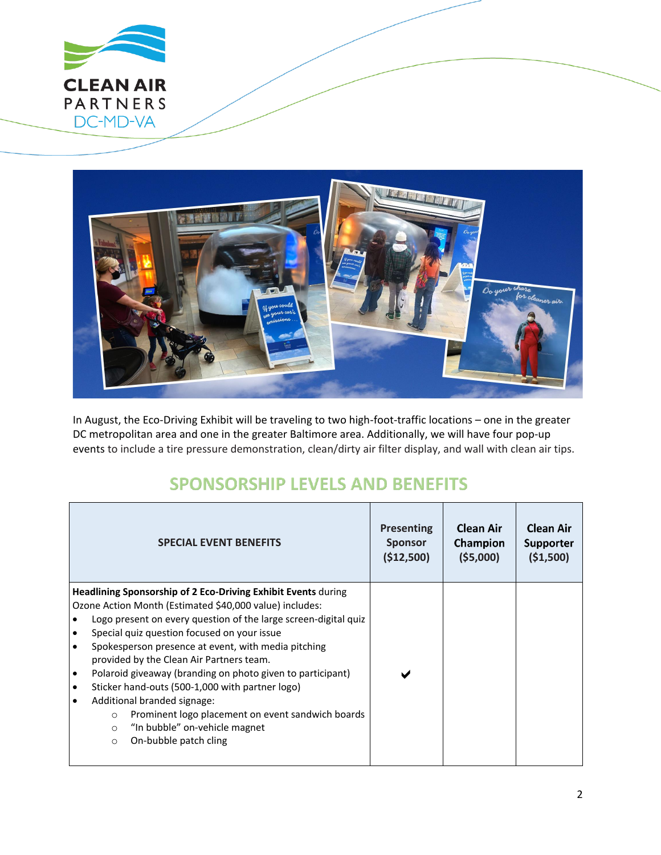



In August, the Eco-Driving Exhibit will be traveling to two high-foot-traffic locations – one in the greater DC metropolitan area and one in the greater Baltimore area. Additionally, we will have four pop-up events to include a tire pressure demonstration, clean/dirty air filter display, and wall with clean air tips.

## **SPONSORSHIP LEVELS AND BENEFITS**

| <b>SPECIAL EVENT BENEFITS</b>                                                                                                                                                                                                                                                                                                                                                                                                                                                                                                                                                                                                                                                                                               | <b>Presenting</b> | <b>Clean Air</b> | <b>Clean Air</b> |
|-----------------------------------------------------------------------------------------------------------------------------------------------------------------------------------------------------------------------------------------------------------------------------------------------------------------------------------------------------------------------------------------------------------------------------------------------------------------------------------------------------------------------------------------------------------------------------------------------------------------------------------------------------------------------------------------------------------------------------|-------------------|------------------|------------------|
|                                                                                                                                                                                                                                                                                                                                                                                                                                                                                                                                                                                                                                                                                                                             | <b>Sponsor</b>    | Champion         | <b>Supporter</b> |
|                                                                                                                                                                                                                                                                                                                                                                                                                                                                                                                                                                                                                                                                                                                             | (\$12,500)        | (55,000)         | (51,500)         |
| Headlining Sponsorship of 2 Eco-Driving Exhibit Events during<br>Ozone Action Month (Estimated \$40,000 value) includes:<br>Logo present on every question of the large screen-digital quiz<br>$\bullet$<br>Special quiz question focused on your issue<br>$\bullet$<br>Spokesperson presence at event, with media pitching<br>$\bullet$<br>provided by the Clean Air Partners team.<br>Polaroid giveaway (branding on photo given to participant)<br>$\bullet$<br>Sticker hand-outs (500-1,000 with partner logo)<br>$\bullet$<br>Additional branded signage:<br>$\bullet$<br>Prominent logo placement on event sandwich boards<br>$\circ$<br>"In bubble" on-vehicle magnet<br>$\circ$<br>On-bubble patch cling<br>$\circ$ |                   |                  |                  |